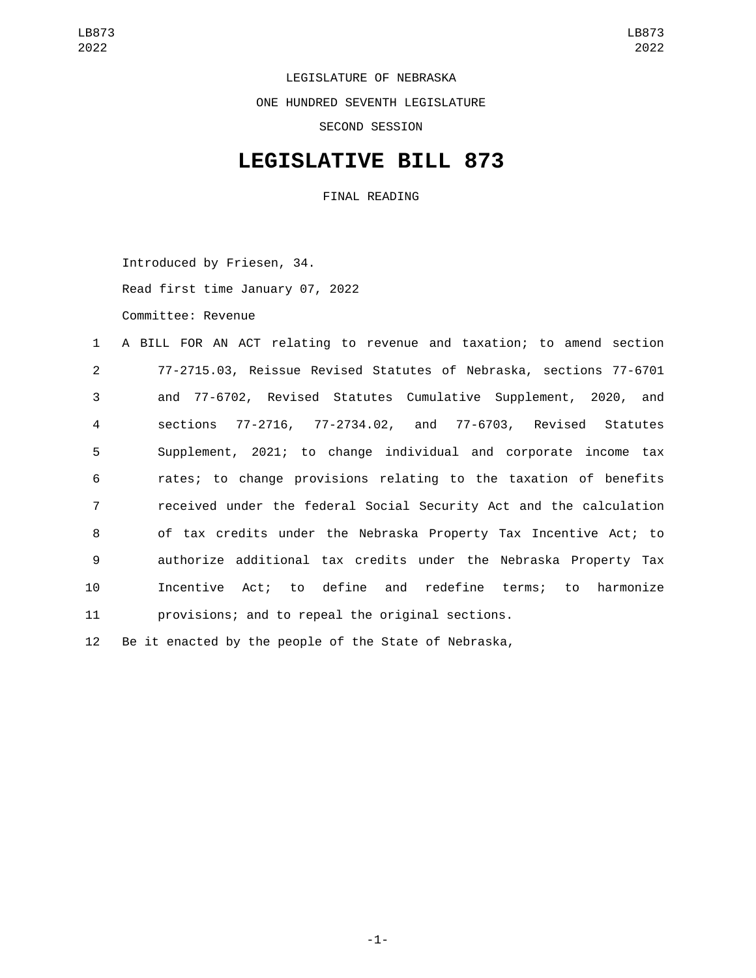LEGISLATURE OF NEBRASKA ONE HUNDRED SEVENTH LEGISLATURE SECOND SESSION

## **LEGISLATIVE BILL 873**

FINAL READING

Introduced by Friesen, 34. Read first time January 07, 2022 Committee: Revenue

 A BILL FOR AN ACT relating to revenue and taxation; to amend section 77-2715.03, Reissue Revised Statutes of Nebraska, sections 77-6701 and 77-6702, Revised Statutes Cumulative Supplement, 2020, and sections 77-2716, 77-2734.02, and 77-6703, Revised Statutes Supplement, 2021; to change individual and corporate income tax rates; to change provisions relating to the taxation of benefits received under the federal Social Security Act and the calculation of tax credits under the Nebraska Property Tax Incentive Act; to authorize additional tax credits under the Nebraska Property Tax Incentive Act; to define and redefine terms; to harmonize provisions; and to repeal the original sections. Be it enacted by the people of the State of Nebraska,

-1-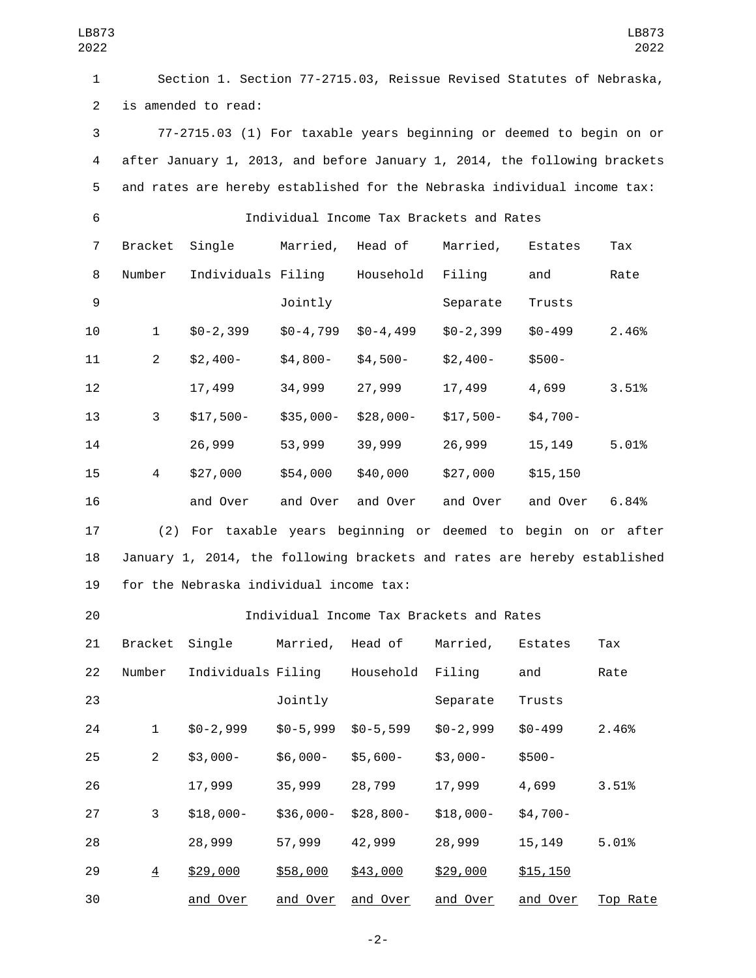| LB873<br>2022  |                                                                      |                                                                           |               |               |                                          |            | LB873<br>2022 |
|----------------|----------------------------------------------------------------------|---------------------------------------------------------------------------|---------------|---------------|------------------------------------------|------------|---------------|
| $\mathbf{1}$   | Section 1. Section 77-2715.03, Reissue Revised Statutes of Nebraska, |                                                                           |               |               |                                          |            |               |
| $\overline{2}$ | is amended to read:                                                  |                                                                           |               |               |                                          |            |               |
| 3              |                                                                      | 77-2715.03 (1) For taxable years beginning or deemed to begin on or       |               |               |                                          |            |               |
| $\overline{4}$ |                                                                      | after January 1, 2013, and before January 1, 2014, the following brackets |               |               |                                          |            |               |
| 5              |                                                                      | and rates are hereby established for the Nebraska individual income tax:  |               |               |                                          |            |               |
| 6              |                                                                      |                                                                           |               |               | Individual Income Tax Brackets and Rates |            |               |
| $\overline{7}$ |                                                                      | Bracket Single    Married, Head of                                        |               |               | Married,                                 | Estates    | Tax           |
| 8              | Number                                                               | Individuals Filing Household                                              |               |               | Filing                                   | and        | Rate          |
| 9              |                                                                      |                                                                           | Jointly       |               | Separate                                 | Trusts     |               |
| 10             | $\mathbf{1}$                                                         | $$0-2,399$                                                                | $$0 - 4, 799$ | $$0 - 4, 499$ | $$0 - 2, 399$                            | $$0 - 499$ | 2.46%         |
| 11             | $\mathbf{2}$                                                         | $$2,400-$                                                                 | \$4,800-      | \$4,500-      | $$2,400-$                                | $$500-$    |               |
| 12             |                                                                      | 17,499                                                                    | 34,999        | 27,999        | 17,499                                   | 4,699      | 3.51%         |
| 13             | 3                                                                    | $$17,500-$                                                                | \$35,000-     | \$28,000-     | \$17,500-                                | $$4,700-$  |               |
| 14             |                                                                      | 26,999                                                                    | 53,999        | 39,999        | 26,999                                   | 15, 149    | 5.01%         |
| 15             | $\overline{4}$                                                       | \$27,000                                                                  | \$54,000      | \$40,000      | \$27,000                                 | \$15, 150  |               |
| 16             |                                                                      | and Over                                                                  | and Over      | and Over      | and Over                                 | and Over   | 6.84%         |
| 17             |                                                                      | (2) For taxable years beginning or deemed to begin on or after            |               |               |                                          |            |               |
| 18             |                                                                      | January 1, 2014, the following brackets and rates are hereby established  |               |               |                                          |            |               |
| 19             |                                                                      | for the Nebraska individual income tax:                                   |               |               |                                          |            |               |
| 20             |                                                                      |                                                                           |               |               | Individual Income Tax Brackets and Rates |            |               |
| 21             | Bracket                                                              | Single                                                                    | Married,      | Head of       | Married,                                 | Estates    | Tax           |
| 22             | Number                                                               | Individuals Filing                                                        |               | Household     | Filing                                   | and        | Rate          |
| 23             |                                                                      |                                                                           | Jointly       |               | Separate                                 | Trusts     |               |
| 24             | 1                                                                    | $$0-2,999$                                                                | $$0-5,999$    | $$0-5,599$    | $$0-2,999$                               | $$0 - 499$ | 2.46%         |
| 25             | $\overline{2}$                                                       | $$3,000-$                                                                 | \$6,000-      | $$5,600-$     | $$3,000-$                                | $$500 -$   |               |
| 26             |                                                                      | 17,999                                                                    | 35,999        | 28,799        | 17,999                                   | 4,699      | 3.51%         |
| 27             | 3                                                                    | $$18,000-$                                                                | $$36,000-$    | $$28,800-$    | $$18,000-$                               | $$4,700-$  |               |
| 28             |                                                                      | 28,999                                                                    | 57,999        | 42,999        | 28,999                                   | 15,149     | 5.01%         |
| 29             | $\overline{4}$                                                       | \$29,000                                                                  | \$58,000      | \$43,000      | \$29,000                                 | \$15,150   |               |
| 30             |                                                                      | and Over                                                                  | and Over      | and Over      | and Over                                 | and Over   | Top Rate      |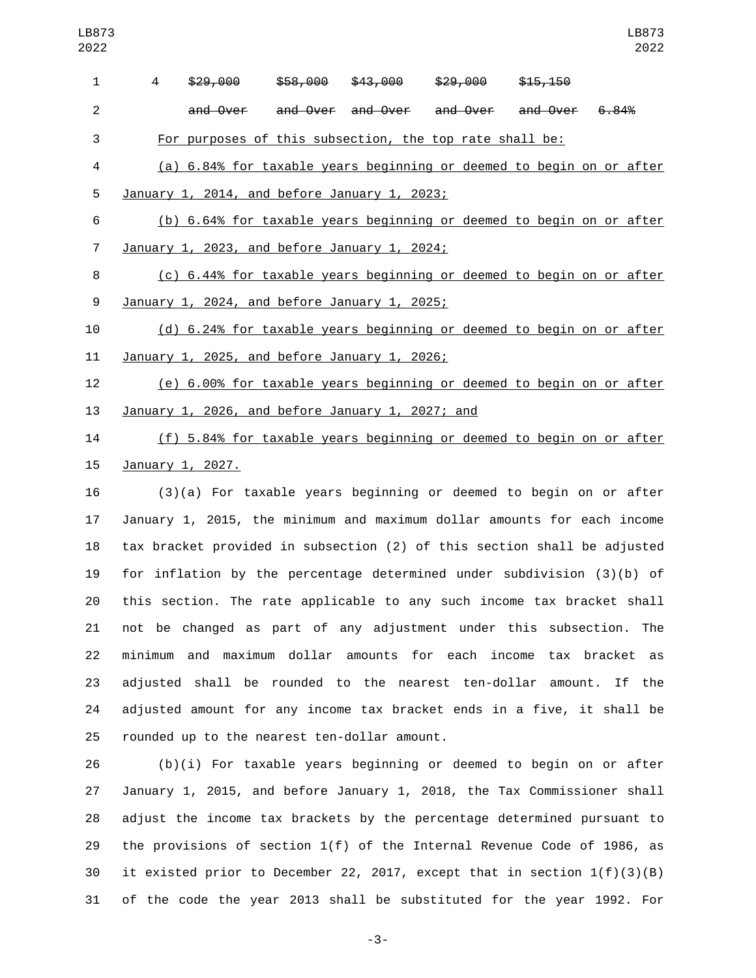| $\mathbf{1}$   | 4 | \$29,000                                                                 | \$58,000 | <del>\$43,000</del>                          | <del>\$29,000</del> | \$15,150 |            |
|----------------|---|--------------------------------------------------------------------------|----------|----------------------------------------------|---------------------|----------|------------|
| $\overline{2}$ |   |                                                                          |          | and Over and Over and Over and Over and Over |                     |          | 6.84%      |
| 3              |   | For purposes of this subsection, the top rate shall be:                  |          |                                              |                     |          |            |
| 4              |   | (a) 6.84% for taxable years beginning or deemed to begin on or after     |          |                                              |                     |          |            |
| 5              |   | January 1, 2014, and before January 1, 2023;                             |          |                                              |                     |          |            |
| 6              |   | (b) 6.64% for taxable years beginning or deemed to begin on or after     |          |                                              |                     |          |            |
| $\overline{7}$ |   | January 1, 2023, and before January 1, 2024;                             |          |                                              |                     |          |            |
| 8              |   | (c) 6.44% for taxable years beginning or deemed to begin on or after     |          |                                              |                     |          |            |
| 9              |   | January 1, 2024, and before January 1, 2025;                             |          |                                              |                     |          |            |
| 10             |   | (d) 6.24% for taxable years beginning or deemed to begin on or after     |          |                                              |                     |          |            |
| 11             |   | January 1, 2025, and before January 1, 2026;                             |          |                                              |                     |          |            |
| 12             |   | (e) 6.00% for taxable years beginning or deemed to begin on or after     |          |                                              |                     |          |            |
| 13             |   | January 1, 2026, and before January 1, 2027; and                         |          |                                              |                     |          |            |
| 14             |   | (f) 5.84% for taxable years beginning or deemed to begin on or after     |          |                                              |                     |          |            |
| 15             |   | January 1, 2027.                                                         |          |                                              |                     |          |            |
| 16             |   | $(3)(a)$ For taxable years beginning or deemed to begin on or after      |          |                                              |                     |          |            |
| 17             |   | January 1, 2015, the minimum and maximum dollar amounts for each income  |          |                                              |                     |          |            |
| 18             |   | tax bracket provided in subsection (2) of this section shall be adjusted |          |                                              |                     |          |            |
| 19             |   | for inflation by the percentage determined under subdivision $(3)(b)$ of |          |                                              |                     |          |            |
| 20             |   | this section. The rate applicable to any such income tax bracket shall   |          |                                              |                     |          |            |
| 21             |   | not be changed as part of any adjustment under this subsection. The      |          |                                              |                     |          |            |
| 22             |   | minimum and maximum dollar amounts for each income                       |          |                                              |                     | tax      | bracket as |
| 23             |   | adjusted shall be rounded to the nearest ten-dollar amount.              |          |                                              |                     |          | If the     |
| 24             |   | adjusted amount for any income tax bracket ends in a five, it shall be   |          |                                              |                     |          |            |
| 25             |   | rounded up to the nearest ten-dollar amount.                             |          |                                              |                     |          |            |

 (b)(i) For taxable years beginning or deemed to begin on or after January 1, 2015, and before January 1, 2018, the Tax Commissioner shall adjust the income tax brackets by the percentage determined pursuant to the provisions of section 1(f) of the Internal Revenue Code of 1986, as it existed prior to December 22, 2017, except that in section 1(f)(3)(B) of the code the year 2013 shall be substituted for the year 1992. For

-3-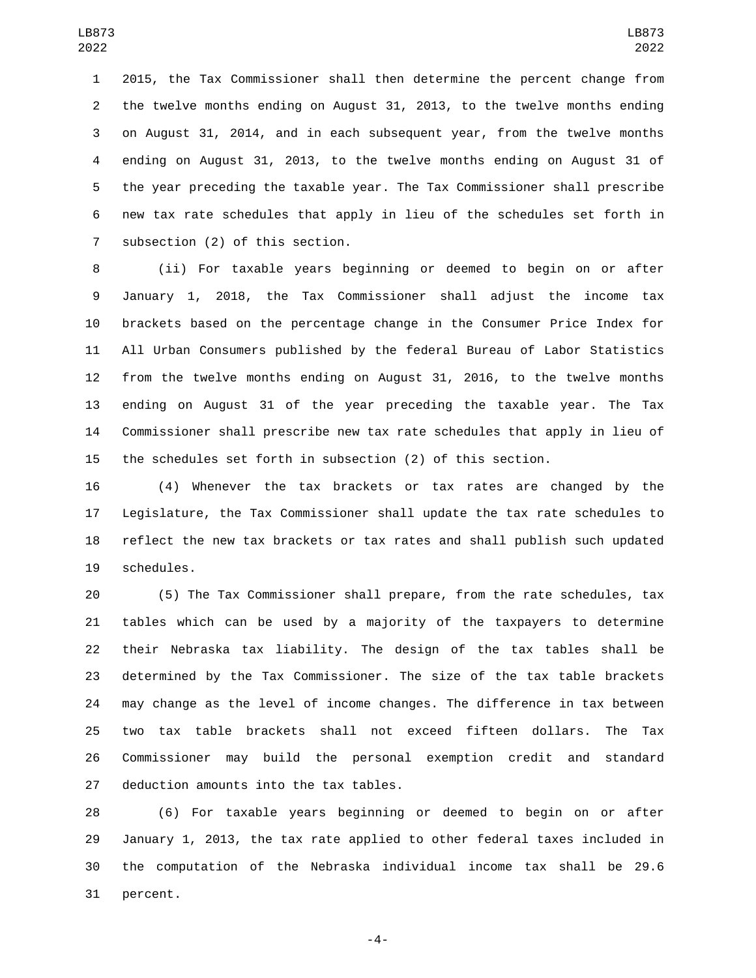2015, the Tax Commissioner shall then determine the percent change from the twelve months ending on August 31, 2013, to the twelve months ending on August 31, 2014, and in each subsequent year, from the twelve months ending on August 31, 2013, to the twelve months ending on August 31 of the year preceding the taxable year. The Tax Commissioner shall prescribe new tax rate schedules that apply in lieu of the schedules set forth in 7 subsection (2) of this section.

 (ii) For taxable years beginning or deemed to begin on or after January 1, 2018, the Tax Commissioner shall adjust the income tax brackets based on the percentage change in the Consumer Price Index for All Urban Consumers published by the federal Bureau of Labor Statistics from the twelve months ending on August 31, 2016, to the twelve months ending on August 31 of the year preceding the taxable year. The Tax Commissioner shall prescribe new tax rate schedules that apply in lieu of the schedules set forth in subsection (2) of this section.

 (4) Whenever the tax brackets or tax rates are changed by the Legislature, the Tax Commissioner shall update the tax rate schedules to reflect the new tax brackets or tax rates and shall publish such updated 19 schedules.

 (5) The Tax Commissioner shall prepare, from the rate schedules, tax tables which can be used by a majority of the taxpayers to determine their Nebraska tax liability. The design of the tax tables shall be determined by the Tax Commissioner. The size of the tax table brackets may change as the level of income changes. The difference in tax between two tax table brackets shall not exceed fifteen dollars. The Tax Commissioner may build the personal exemption credit and standard 27 deduction amounts into the tax tables.

 (6) For taxable years beginning or deemed to begin on or after January 1, 2013, the tax rate applied to other federal taxes included in the computation of the Nebraska individual income tax shall be 29.6 31 percent.

-4-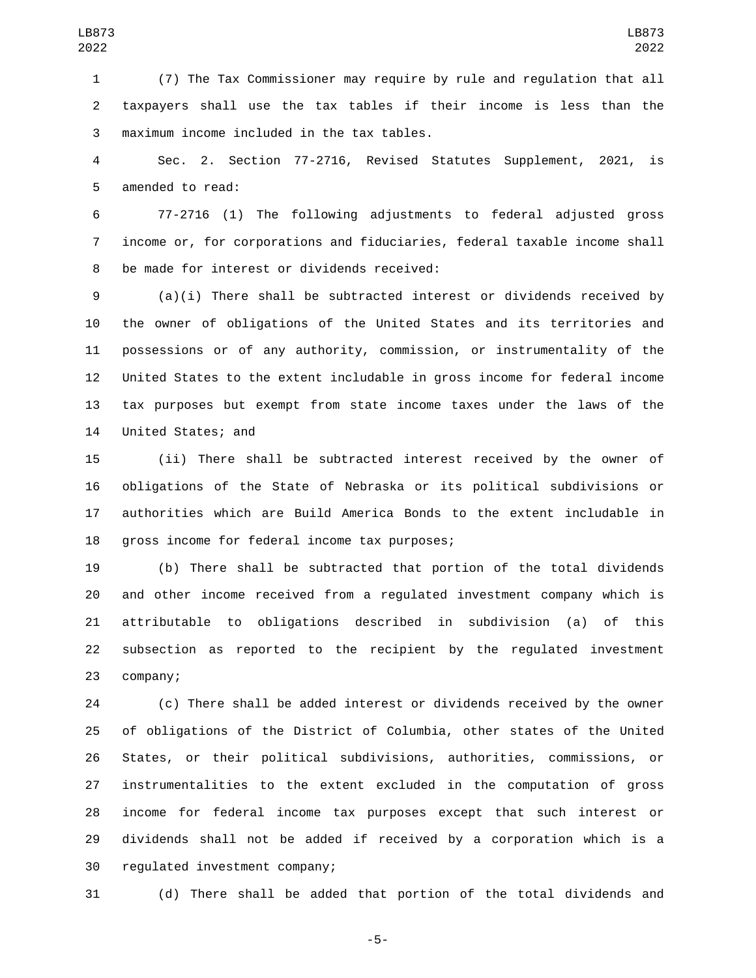(7) The Tax Commissioner may require by rule and regulation that all taxpayers shall use the tax tables if their income is less than the maximum income included in the tax tables.3

 Sec. 2. Section 77-2716, Revised Statutes Supplement, 2021, is 5 amended to read:

 77-2716 (1) The following adjustments to federal adjusted gross income or, for corporations and fiduciaries, federal taxable income shall 8 be made for interest or dividends received:

 (a)(i) There shall be subtracted interest or dividends received by the owner of obligations of the United States and its territories and possessions or of any authority, commission, or instrumentality of the United States to the extent includable in gross income for federal income tax purposes but exempt from state income taxes under the laws of the 14 United States; and

 (ii) There shall be subtracted interest received by the owner of obligations of the State of Nebraska or its political subdivisions or authorities which are Build America Bonds to the extent includable in 18 gross income for federal income tax purposes;

 (b) There shall be subtracted that portion of the total dividends and other income received from a regulated investment company which is attributable to obligations described in subdivision (a) of this subsection as reported to the recipient by the regulated investment 23 company;

 (c) There shall be added interest or dividends received by the owner of obligations of the District of Columbia, other states of the United States, or their political subdivisions, authorities, commissions, or instrumentalities to the extent excluded in the computation of gross income for federal income tax purposes except that such interest or dividends shall not be added if received by a corporation which is a 30 regulated investment company;

(d) There shall be added that portion of the total dividends and

-5-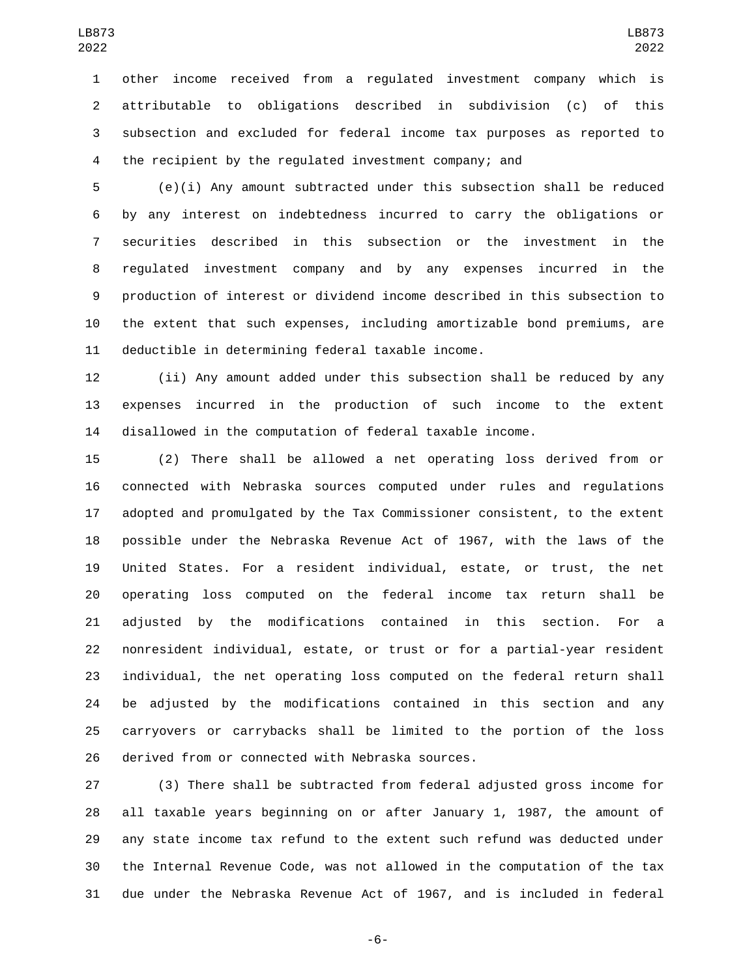other income received from a regulated investment company which is attributable to obligations described in subdivision (c) of this subsection and excluded for federal income tax purposes as reported to the recipient by the regulated investment company; and

 (e)(i) Any amount subtracted under this subsection shall be reduced by any interest on indebtedness incurred to carry the obligations or securities described in this subsection or the investment in the regulated investment company and by any expenses incurred in the production of interest or dividend income described in this subsection to the extent that such expenses, including amortizable bond premiums, are 11 deductible in determining federal taxable income.

 (ii) Any amount added under this subsection shall be reduced by any expenses incurred in the production of such income to the extent disallowed in the computation of federal taxable income.

 (2) There shall be allowed a net operating loss derived from or connected with Nebraska sources computed under rules and regulations adopted and promulgated by the Tax Commissioner consistent, to the extent possible under the Nebraska Revenue Act of 1967, with the laws of the United States. For a resident individual, estate, or trust, the net operating loss computed on the federal income tax return shall be adjusted by the modifications contained in this section. For a nonresident individual, estate, or trust or for a partial-year resident individual, the net operating loss computed on the federal return shall be adjusted by the modifications contained in this section and any carryovers or carrybacks shall be limited to the portion of the loss 26 derived from or connected with Nebraska sources.

 (3) There shall be subtracted from federal adjusted gross income for all taxable years beginning on or after January 1, 1987, the amount of any state income tax refund to the extent such refund was deducted under the Internal Revenue Code, was not allowed in the computation of the tax due under the Nebraska Revenue Act of 1967, and is included in federal

-6-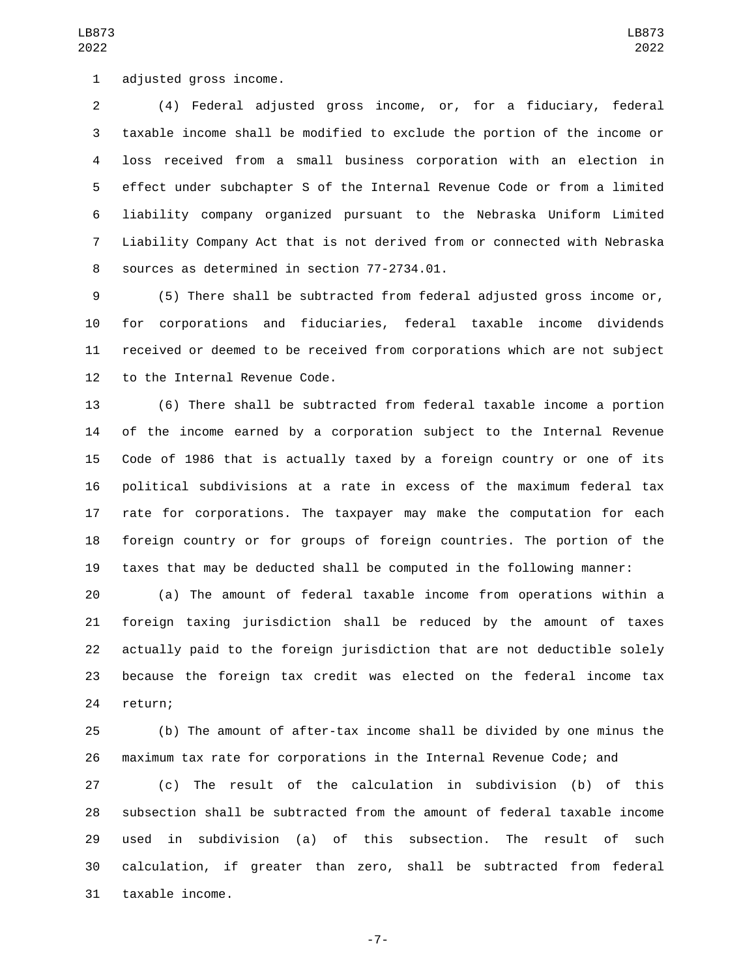1 adjusted gross income.

 (4) Federal adjusted gross income, or, for a fiduciary, federal taxable income shall be modified to exclude the portion of the income or loss received from a small business corporation with an election in effect under subchapter S of the Internal Revenue Code or from a limited liability company organized pursuant to the Nebraska Uniform Limited Liability Company Act that is not derived from or connected with Nebraska 8 sources as determined in section 77-2734.01.

 (5) There shall be subtracted from federal adjusted gross income or, for corporations and fiduciaries, federal taxable income dividends received or deemed to be received from corporations which are not subject 12 to the Internal Revenue Code.

 (6) There shall be subtracted from federal taxable income a portion of the income earned by a corporation subject to the Internal Revenue Code of 1986 that is actually taxed by a foreign country or one of its political subdivisions at a rate in excess of the maximum federal tax rate for corporations. The taxpayer may make the computation for each foreign country or for groups of foreign countries. The portion of the taxes that may be deducted shall be computed in the following manner:

 (a) The amount of federal taxable income from operations within a foreign taxing jurisdiction shall be reduced by the amount of taxes actually paid to the foreign jurisdiction that are not deductible solely because the foreign tax credit was elected on the federal income tax 24 return;

 (b) The amount of after-tax income shall be divided by one minus the maximum tax rate for corporations in the Internal Revenue Code; and

 (c) The result of the calculation in subdivision (b) of this subsection shall be subtracted from the amount of federal taxable income used in subdivision (a) of this subsection. The result of such calculation, if greater than zero, shall be subtracted from federal 31 taxable income.

-7-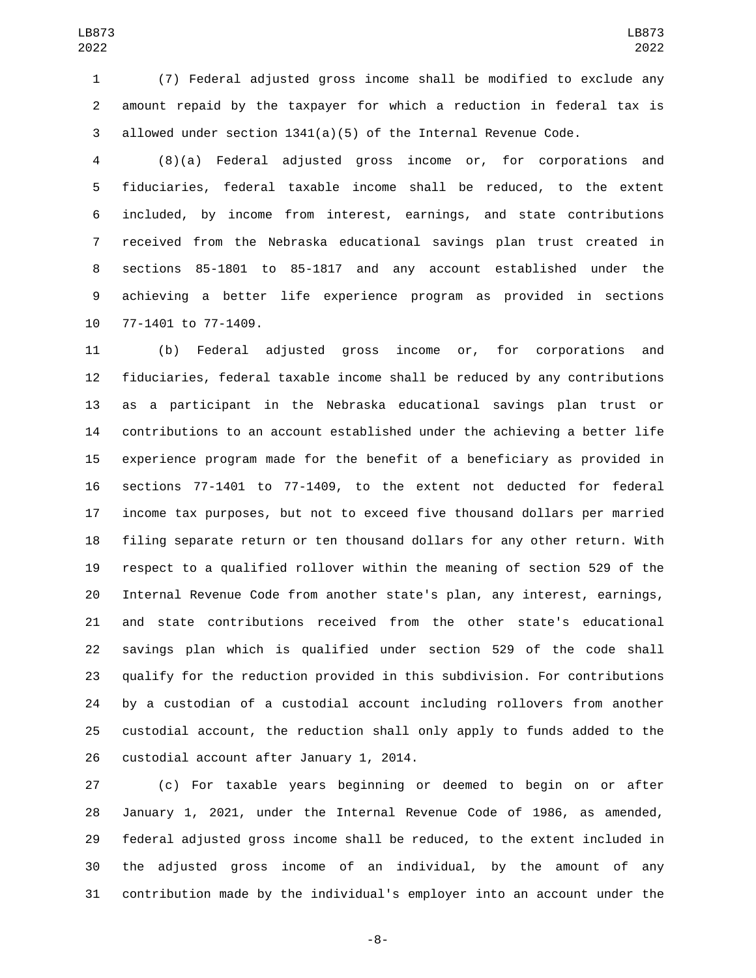(7) Federal adjusted gross income shall be modified to exclude any amount repaid by the taxpayer for which a reduction in federal tax is allowed under section 1341(a)(5) of the Internal Revenue Code.

 (8)(a) Federal adjusted gross income or, for corporations and fiduciaries, federal taxable income shall be reduced, to the extent included, by income from interest, earnings, and state contributions received from the Nebraska educational savings plan trust created in sections 85-1801 to 85-1817 and any account established under the achieving a better life experience program as provided in sections 10 77-1401 to 77-1409.

 (b) Federal adjusted gross income or, for corporations and fiduciaries, federal taxable income shall be reduced by any contributions as a participant in the Nebraska educational savings plan trust or contributions to an account established under the achieving a better life experience program made for the benefit of a beneficiary as provided in sections 77-1401 to 77-1409, to the extent not deducted for federal income tax purposes, but not to exceed five thousand dollars per married filing separate return or ten thousand dollars for any other return. With respect to a qualified rollover within the meaning of section 529 of the Internal Revenue Code from another state's plan, any interest, earnings, and state contributions received from the other state's educational savings plan which is qualified under section 529 of the code shall qualify for the reduction provided in this subdivision. For contributions by a custodian of a custodial account including rollovers from another custodial account, the reduction shall only apply to funds added to the 26 custodial account after January 1, 2014.

 (c) For taxable years beginning or deemed to begin on or after January 1, 2021, under the Internal Revenue Code of 1986, as amended, federal adjusted gross income shall be reduced, to the extent included in the adjusted gross income of an individual, by the amount of any contribution made by the individual's employer into an account under the

-8-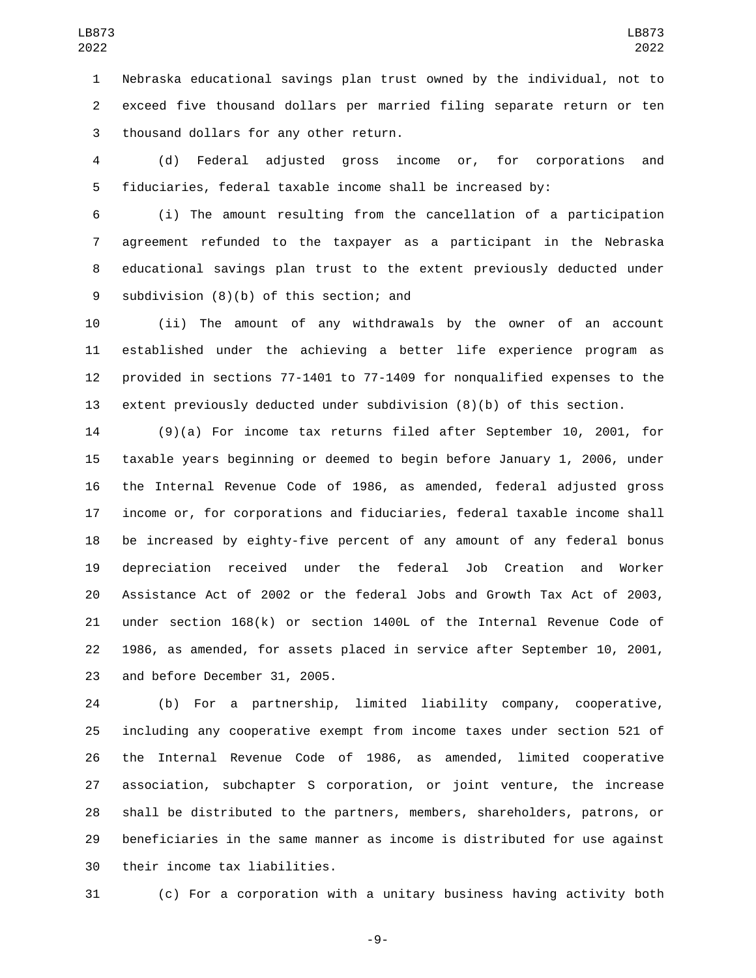Nebraska educational savings plan trust owned by the individual, not to exceed five thousand dollars per married filing separate return or ten 3 thousand dollars for any other return.

 (d) Federal adjusted gross income or, for corporations and fiduciaries, federal taxable income shall be increased by:

 (i) The amount resulting from the cancellation of a participation agreement refunded to the taxpayer as a participant in the Nebraska educational savings plan trust to the extent previously deducted under 9 subdivision (8)(b) of this section; and

 (ii) The amount of any withdrawals by the owner of an account established under the achieving a better life experience program as provided in sections 77-1401 to 77-1409 for nonqualified expenses to the extent previously deducted under subdivision (8)(b) of this section.

 (9)(a) For income tax returns filed after September 10, 2001, for taxable years beginning or deemed to begin before January 1, 2006, under the Internal Revenue Code of 1986, as amended, federal adjusted gross income or, for corporations and fiduciaries, federal taxable income shall be increased by eighty-five percent of any amount of any federal bonus depreciation received under the federal Job Creation and Worker Assistance Act of 2002 or the federal Jobs and Growth Tax Act of 2003, under section 168(k) or section 1400L of the Internal Revenue Code of 1986, as amended, for assets placed in service after September 10, 2001, 23 and before December 31, 2005.

 (b) For a partnership, limited liability company, cooperative, including any cooperative exempt from income taxes under section 521 of the Internal Revenue Code of 1986, as amended, limited cooperative association, subchapter S corporation, or joint venture, the increase shall be distributed to the partners, members, shareholders, patrons, or beneficiaries in the same manner as income is distributed for use against 30 their income tax liabilities.

(c) For a corporation with a unitary business having activity both

-9-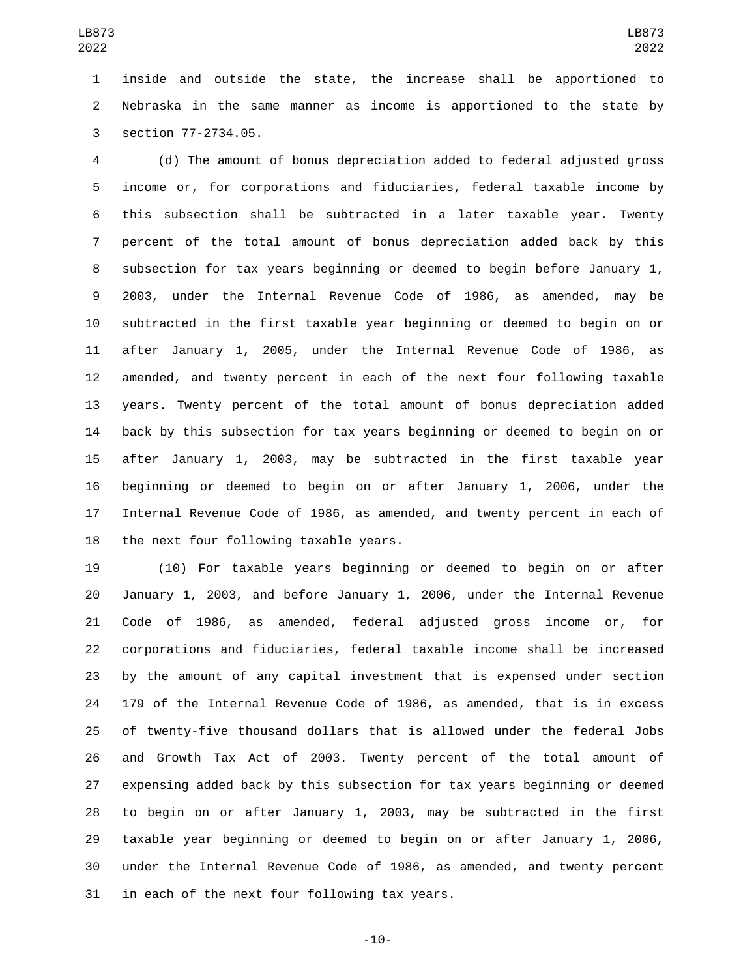inside and outside the state, the increase shall be apportioned to Nebraska in the same manner as income is apportioned to the state by 3 section 77-2734.05.

 (d) The amount of bonus depreciation added to federal adjusted gross income or, for corporations and fiduciaries, federal taxable income by this subsection shall be subtracted in a later taxable year. Twenty percent of the total amount of bonus depreciation added back by this subsection for tax years beginning or deemed to begin before January 1, 2003, under the Internal Revenue Code of 1986, as amended, may be subtracted in the first taxable year beginning or deemed to begin on or after January 1, 2005, under the Internal Revenue Code of 1986, as amended, and twenty percent in each of the next four following taxable years. Twenty percent of the total amount of bonus depreciation added back by this subsection for tax years beginning or deemed to begin on or after January 1, 2003, may be subtracted in the first taxable year beginning or deemed to begin on or after January 1, 2006, under the Internal Revenue Code of 1986, as amended, and twenty percent in each of 18 the next four following taxable years.

 (10) For taxable years beginning or deemed to begin on or after January 1, 2003, and before January 1, 2006, under the Internal Revenue Code of 1986, as amended, federal adjusted gross income or, for corporations and fiduciaries, federal taxable income shall be increased by the amount of any capital investment that is expensed under section 179 of the Internal Revenue Code of 1986, as amended, that is in excess of twenty-five thousand dollars that is allowed under the federal Jobs and Growth Tax Act of 2003. Twenty percent of the total amount of expensing added back by this subsection for tax years beginning or deemed to begin on or after January 1, 2003, may be subtracted in the first taxable year beginning or deemed to begin on or after January 1, 2006, under the Internal Revenue Code of 1986, as amended, and twenty percent 31 in each of the next four following tax years.

-10-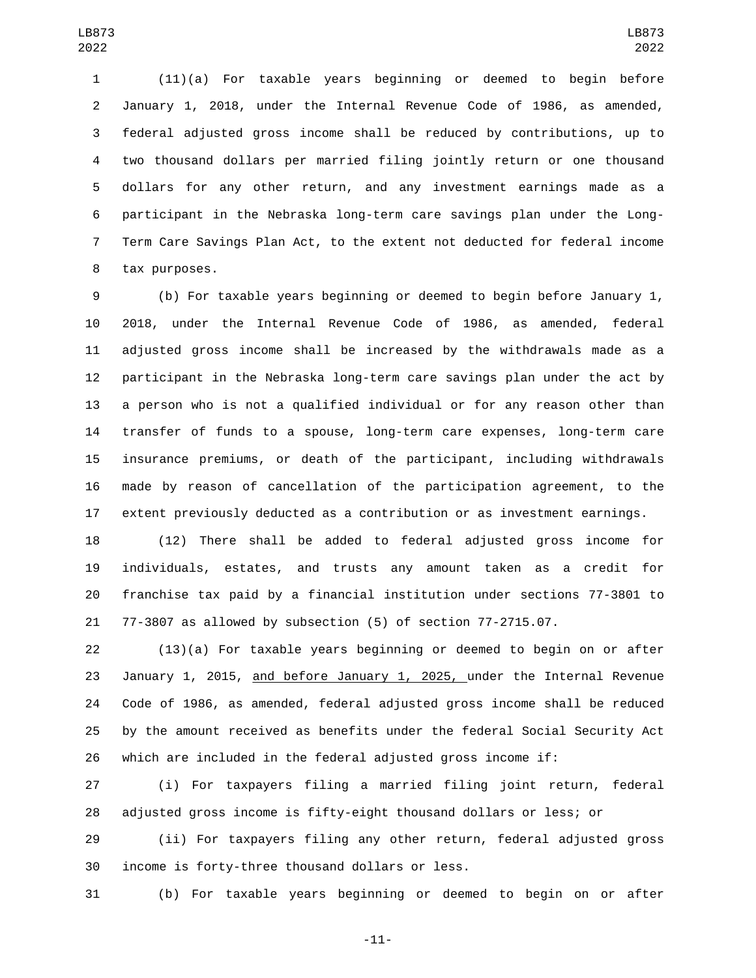(11)(a) For taxable years beginning or deemed to begin before January 1, 2018, under the Internal Revenue Code of 1986, as amended, federal adjusted gross income shall be reduced by contributions, up to two thousand dollars per married filing jointly return or one thousand dollars for any other return, and any investment earnings made as a participant in the Nebraska long-term care savings plan under the Long- Term Care Savings Plan Act, to the extent not deducted for federal income 8 tax purposes.

 (b) For taxable years beginning or deemed to begin before January 1, 2018, under the Internal Revenue Code of 1986, as amended, federal adjusted gross income shall be increased by the withdrawals made as a participant in the Nebraska long-term care savings plan under the act by a person who is not a qualified individual or for any reason other than transfer of funds to a spouse, long-term care expenses, long-term care insurance premiums, or death of the participant, including withdrawals made by reason of cancellation of the participation agreement, to the extent previously deducted as a contribution or as investment earnings.

 (12) There shall be added to federal adjusted gross income for individuals, estates, and trusts any amount taken as a credit for franchise tax paid by a financial institution under sections 77-3801 to 77-3807 as allowed by subsection (5) of section 77-2715.07.

 (13)(a) For taxable years beginning or deemed to begin on or after January 1, 2015, and before January 1, 2025, under the Internal Revenue Code of 1986, as amended, federal adjusted gross income shall be reduced by the amount received as benefits under the federal Social Security Act which are included in the federal adjusted gross income if:

 (i) For taxpayers filing a married filing joint return, federal adjusted gross income is fifty-eight thousand dollars or less; or

 (ii) For taxpayers filing any other return, federal adjusted gross 30 income is forty-three thousand dollars or less.

(b) For taxable years beginning or deemed to begin on or after

-11-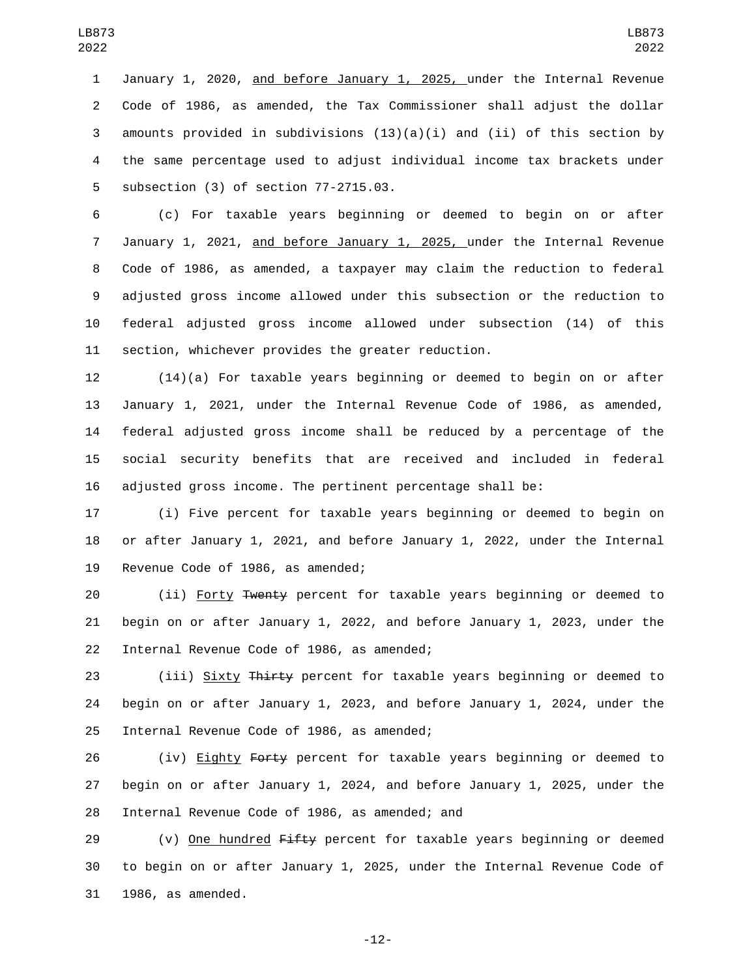January 1, 2020, and before January 1, 2025, under the Internal Revenue Code of 1986, as amended, the Tax Commissioner shall adjust the dollar 3 amounts provided in subdivisions  $(13)(a)(i)$  and  $(ii)$  of this section by the same percentage used to adjust individual income tax brackets under 5 subsection (3) of section 77-2715.03.

 (c) For taxable years beginning or deemed to begin on or after January 1, 2021, and before January 1, 2025, under the Internal Revenue Code of 1986, as amended, a taxpayer may claim the reduction to federal adjusted gross income allowed under this subsection or the reduction to federal adjusted gross income allowed under subsection (14) of this section, whichever provides the greater reduction.

 (14)(a) For taxable years beginning or deemed to begin on or after January 1, 2021, under the Internal Revenue Code of 1986, as amended, federal adjusted gross income shall be reduced by a percentage of the social security benefits that are received and included in federal adjusted gross income. The pertinent percentage shall be:

 (i) Five percent for taxable years beginning or deemed to begin on or after January 1, 2021, and before January 1, 2022, under the Internal 19 Revenue Code of 1986, as amended;

 (ii) Forty Twenty percent for taxable years beginning or deemed to begin on or after January 1, 2022, and before January 1, 2023, under the 22 Internal Revenue Code of 1986, as amended;

23 (iii) Sixty Thirty percent for taxable years beginning or deemed to begin on or after January 1, 2023, and before January 1, 2024, under the 25 Internal Revenue Code of 1986, as amended;

26 (iv) Eighty Forty percent for taxable years beginning or deemed to begin on or after January 1, 2024, and before January 1, 2025, under the 28 Internal Revenue Code of 1986, as amended; and

29 (v) One hundred Fifty percent for taxable years beginning or deemed to begin on or after January 1, 2025, under the Internal Revenue Code of 31 1986, as amended.

-12-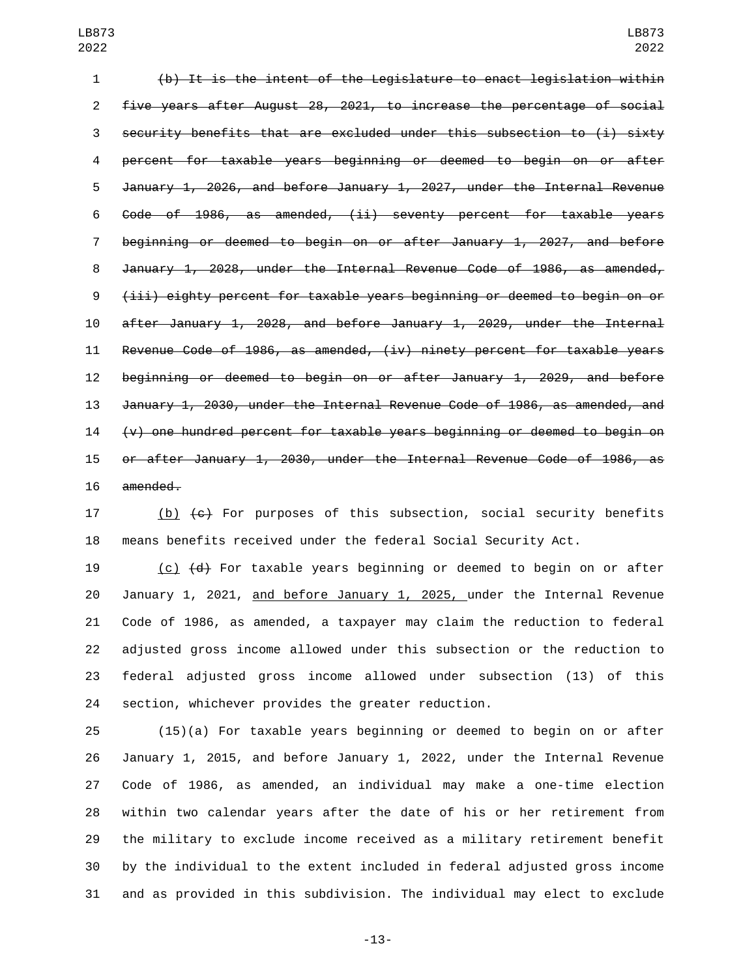(b) It is the intent of the Legislature to enact legislation within five years after August 28, 2021, to increase the percentage of social security benefits that are excluded under this subsection to (i) sixty percent for taxable years beginning or deemed to begin on or after January 1, 2026, and before January 1, 2027, under the Internal Revenue Code of 1986, as amended, (ii) seventy percent for taxable years beginning or deemed to begin on or after January 1, 2027, and before January 1, 2028, under the Internal Revenue Code of 1986, as amended, (iii) eighty percent for taxable years beginning or deemed to begin on or after January 1, 2028, and before January 1, 2029, under the Internal Revenue Code of 1986, as amended, (iv) ninety percent for taxable years beginning or deemed to begin on or after January 1, 2029, and before January 1, 2030, under the Internal Revenue Code of 1986, as amended, and  $\leftrightarrow$  one hundred percent for taxable years beginning or deemed to begin on or after January 1, 2030, under the Internal Revenue Code of 1986, as 16 amended.

17 (b)  $\left\lbrace e \right\rbrace$  For purposes of this subsection, social security benefits means benefits received under the federal Social Security Act.

 (c) (d) For taxable years beginning or deemed to begin on or after January 1, 2021, and before January 1, 2025, under the Internal Revenue Code of 1986, as amended, a taxpayer may claim the reduction to federal adjusted gross income allowed under this subsection or the reduction to federal adjusted gross income allowed under subsection (13) of this section, whichever provides the greater reduction.

 (15)(a) For taxable years beginning or deemed to begin on or after January 1, 2015, and before January 1, 2022, under the Internal Revenue Code of 1986, as amended, an individual may make a one-time election within two calendar years after the date of his or her retirement from the military to exclude income received as a military retirement benefit by the individual to the extent included in federal adjusted gross income and as provided in this subdivision. The individual may elect to exclude

-13-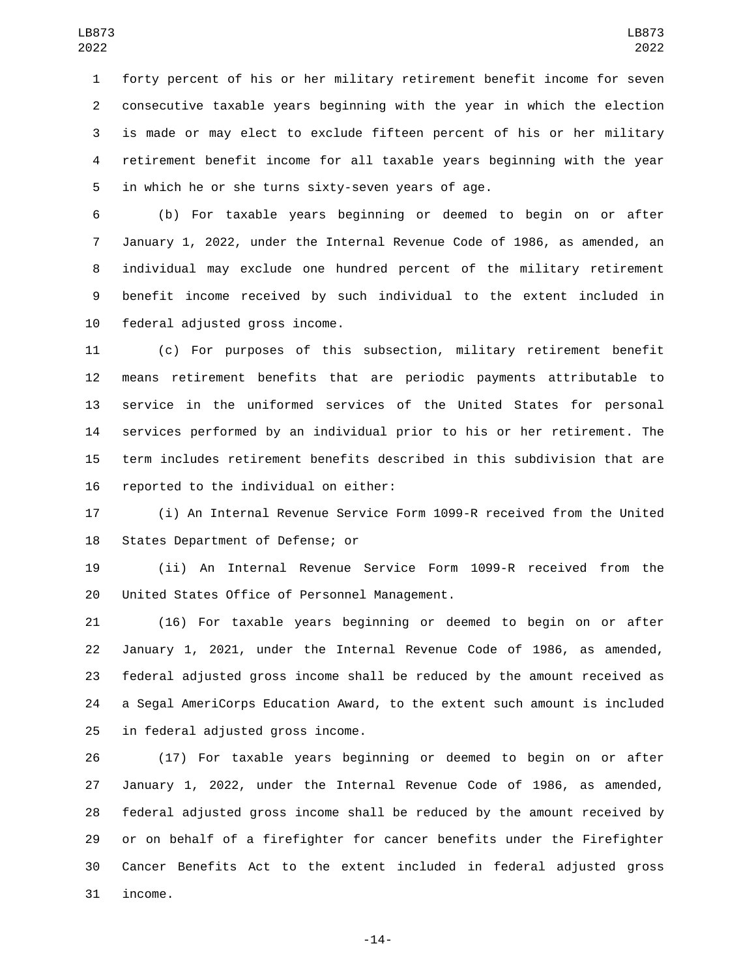forty percent of his or her military retirement benefit income for seven consecutive taxable years beginning with the year in which the election is made or may elect to exclude fifteen percent of his or her military retirement benefit income for all taxable years beginning with the year 5 in which he or she turns sixty-seven years of age.

 (b) For taxable years beginning or deemed to begin on or after January 1, 2022, under the Internal Revenue Code of 1986, as amended, an individual may exclude one hundred percent of the military retirement benefit income received by such individual to the extent included in 10 federal adjusted gross income.

 (c) For purposes of this subsection, military retirement benefit means retirement benefits that are periodic payments attributable to service in the uniformed services of the United States for personal services performed by an individual prior to his or her retirement. The term includes retirement benefits described in this subdivision that are 16 reported to the individual on either:

 (i) An Internal Revenue Service Form 1099-R received from the United 18 States Department of Defense; or

 (ii) An Internal Revenue Service Form 1099-R received from the 20 United States Office of Personnel Management.

 (16) For taxable years beginning or deemed to begin on or after January 1, 2021, under the Internal Revenue Code of 1986, as amended, federal adjusted gross income shall be reduced by the amount received as a Segal AmeriCorps Education Award, to the extent such amount is included 25 in federal adjusted gross income.

 (17) For taxable years beginning or deemed to begin on or after January 1, 2022, under the Internal Revenue Code of 1986, as amended, federal adjusted gross income shall be reduced by the amount received by or on behalf of a firefighter for cancer benefits under the Firefighter Cancer Benefits Act to the extent included in federal adjusted gross 31 income.

-14-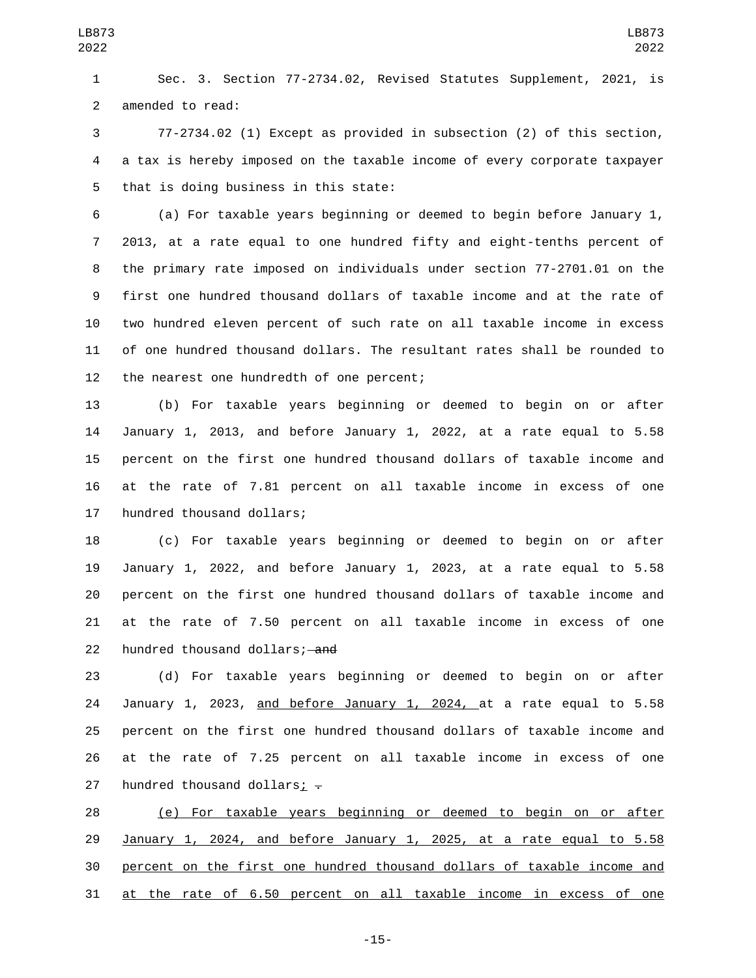Sec. 3. Section 77-2734.02, Revised Statutes Supplement, 2021, is 2 amended to read:

 77-2734.02 (1) Except as provided in subsection (2) of this section, a tax is hereby imposed on the taxable income of every corporate taxpayer 5 that is doing business in this state:

 (a) For taxable years beginning or deemed to begin before January 1, 2013, at a rate equal to one hundred fifty and eight-tenths percent of the primary rate imposed on individuals under section 77-2701.01 on the first one hundred thousand dollars of taxable income and at the rate of two hundred eleven percent of such rate on all taxable income in excess of one hundred thousand dollars. The resultant rates shall be rounded to 12 the nearest one hundredth of one percent;

 (b) For taxable years beginning or deemed to begin on or after January 1, 2013, and before January 1, 2022, at a rate equal to 5.58 percent on the first one hundred thousand dollars of taxable income and at the rate of 7.81 percent on all taxable income in excess of one 17 hundred thousand dollars;

 (c) For taxable years beginning or deemed to begin on or after January 1, 2022, and before January 1, 2023, at a rate equal to 5.58 percent on the first one hundred thousand dollars of taxable income and at the rate of 7.50 percent on all taxable income in excess of one 22 hundred thousand dollars; and

 (d) For taxable years beginning or deemed to begin on or after January 1, 2023, and before January 1, 2024, at a rate equal to 5.58 percent on the first one hundred thousand dollars of taxable income and at the rate of 7.25 percent on all taxable income in excess of one 27 hundred thousand dollars;  $\overline{z}$ 

 (e) For taxable years beginning or deemed to begin on or after January 1, 2024, and before January 1, 2025, at a rate equal to 5.58 percent on the first one hundred thousand dollars of taxable income and at the rate of 6.50 percent on all taxable income in excess of one

-15-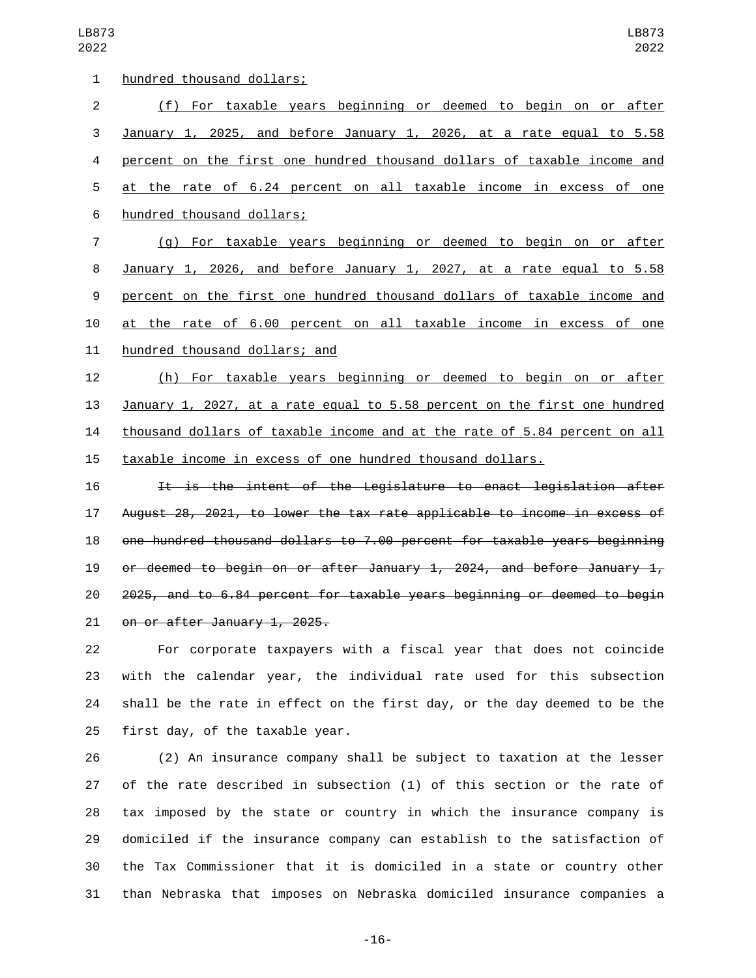| 1  | hundred thousand dollars;                                                 |
|----|---------------------------------------------------------------------------|
| 2  | (f) For taxable years beginning or deemed to begin on or after            |
| 3  | January 1, 2025, and before January 1, 2026, at a rate equal to 5.58      |
| 4  | percent on the first one hundred thousand dollars of taxable income and   |
| 5  | at the rate of 6.24 percent on all taxable income in excess of one        |
| 6  | hundred thousand dollars;                                                 |
| 7  | (g) For taxable years beginning or deemed to begin on or after            |
| 8  | January 1, 2026, and before January 1, 2027, at a rate equal to 5.58      |
| 9  | percent on the first one hundred thousand dollars of taxable income and   |
| 10 | at the rate of 6.00 percent on all taxable income in excess of one        |
| 11 | hundred thousand dollars; and                                             |
| 12 | (h) For taxable years beginning or deemed to begin on or after            |
| 13 | January 1, 2027, at a rate equal to 5.58 percent on the first one hundred |
| 14 | thousand dollars of taxable income and at the rate of 5.84 percent on all |
| 15 | taxable income in excess of one hundred thousand dollars.                 |
| 16 | It is the intent of the Legislature to enact legislation after            |
| 17 | August 28, 2021, to lower the tax rate applicable to income in excess of  |
| 18 | one hundred thousand dollars to 7.00 percent for taxable years beginning  |
| 19 | or deemed to begin on or after January 1, 2024, and before January 1,     |
| 20 | 2025, and to 6.84 percent for taxable years beginning or deemed to begin  |
| 21 | on or after January 1, 2025.                                              |
| 22 | For corporate taxpayers with a fiscal year that does not coincide         |

 with the calendar year, the individual rate used for this subsection shall be the rate in effect on the first day, or the day deemed to be the first day, of the taxable year.

 (2) An insurance company shall be subject to taxation at the lesser of the rate described in subsection (1) of this section or the rate of tax imposed by the state or country in which the insurance company is domiciled if the insurance company can establish to the satisfaction of the Tax Commissioner that it is domiciled in a state or country other than Nebraska that imposes on Nebraska domiciled insurance companies a

-16-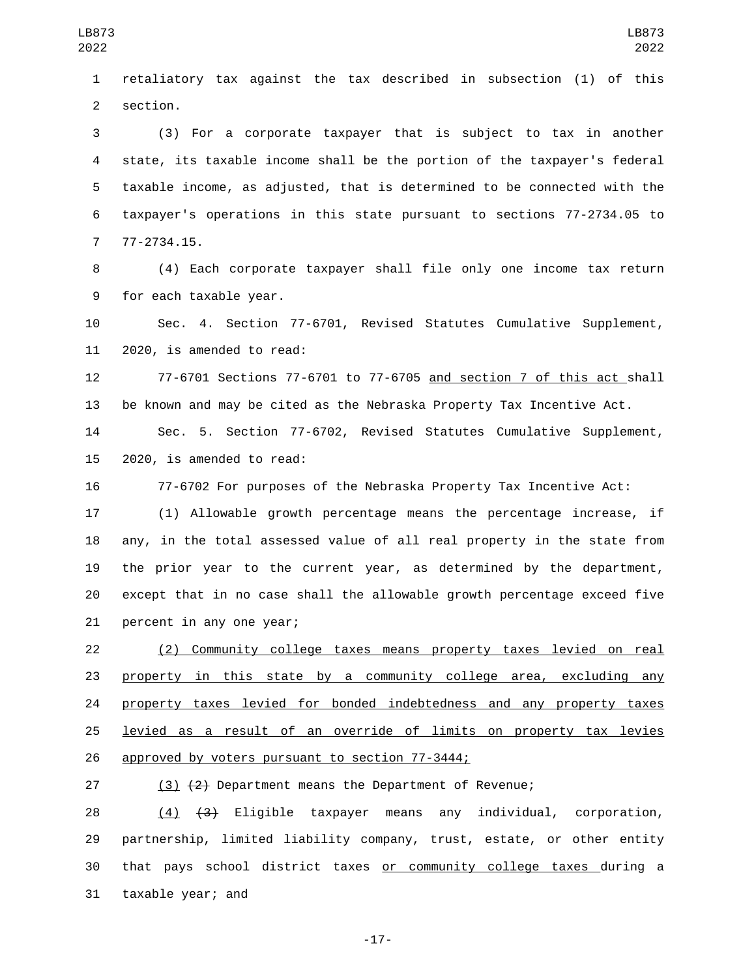retaliatory tax against the tax described in subsection (1) of this 2 section.

 (3) For a corporate taxpayer that is subject to tax in another state, its taxable income shall be the portion of the taxpayer's federal taxable income, as adjusted, that is determined to be connected with the taxpayer's operations in this state pursuant to sections 77-2734.05 to 77-2734.15.7

 (4) Each corporate taxpayer shall file only one income tax return 9 for each taxable year.

 Sec. 4. Section 77-6701, Revised Statutes Cumulative Supplement, 11 2020, is amended to read:

 77-6701 Sections 77-6701 to 77-6705 and section 7 of this act shall be known and may be cited as the Nebraska Property Tax Incentive Act.

 Sec. 5. Section 77-6702, Revised Statutes Cumulative Supplement, 2020, is amended to read:

77-6702 For purposes of the Nebraska Property Tax Incentive Act:

 (1) Allowable growth percentage means the percentage increase, if any, in the total assessed value of all real property in the state from the prior year to the current year, as determined by the department, except that in no case shall the allowable growth percentage exceed five 21 percent in any one year;

 (2) Community college taxes means property taxes levied on real property in this state by a community college area, excluding any property taxes levied for bonded indebtedness and any property taxes levied as a result of an override of limits on property tax levies 26 approved by voters pursuant to section 77-3444;

(3) (2) Department means the Department of Revenue;

 (4) (3) Eligible taxpayer means any individual, corporation, partnership, limited liability company, trust, estate, or other entity that pays school district taxes or community college taxes during a 31 taxable year; and

-17-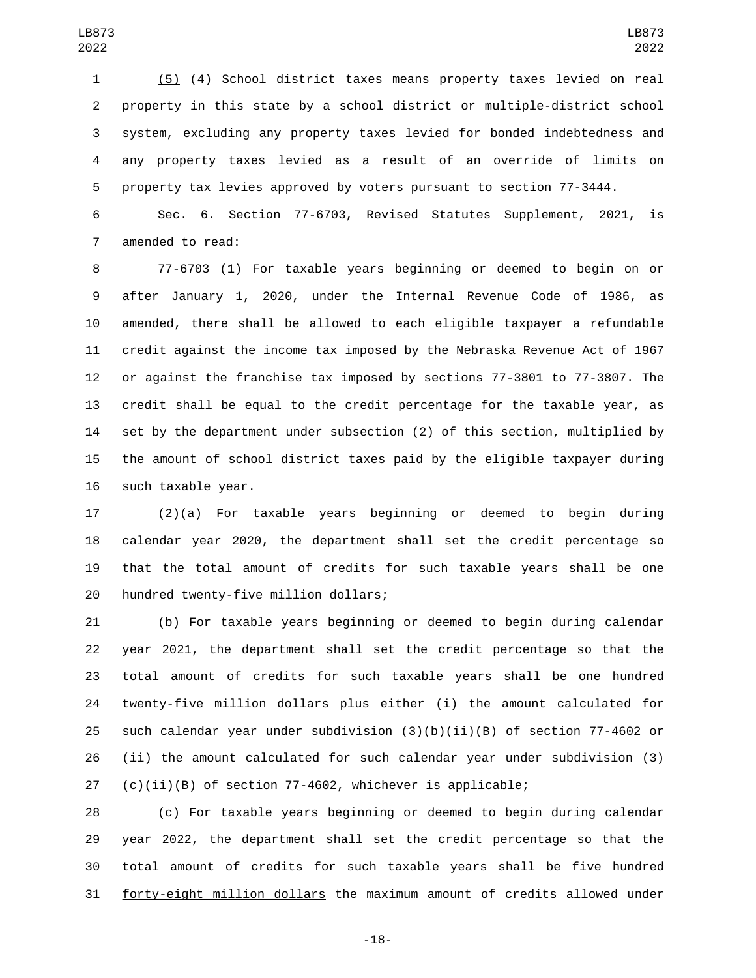(5) (4) School district taxes means property taxes levied on real property in this state by a school district or multiple-district school system, excluding any property taxes levied for bonded indebtedness and any property taxes levied as a result of an override of limits on property tax levies approved by voters pursuant to section 77-3444.

 Sec. 6. Section 77-6703, Revised Statutes Supplement, 2021, is 7 amended to read:

 77-6703 (1) For taxable years beginning or deemed to begin on or after January 1, 2020, under the Internal Revenue Code of 1986, as amended, there shall be allowed to each eligible taxpayer a refundable credit against the income tax imposed by the Nebraska Revenue Act of 1967 or against the franchise tax imposed by sections 77-3801 to 77-3807. The credit shall be equal to the credit percentage for the taxable year, as set by the department under subsection (2) of this section, multiplied by the amount of school district taxes paid by the eligible taxpayer during 16 such taxable year.

 (2)(a) For taxable years beginning or deemed to begin during calendar year 2020, the department shall set the credit percentage so that the total amount of credits for such taxable years shall be one 20 hundred twenty-five million dollars;

 (b) For taxable years beginning or deemed to begin during calendar year 2021, the department shall set the credit percentage so that the total amount of credits for such taxable years shall be one hundred twenty-five million dollars plus either (i) the amount calculated for 25 such calendar year under subdivision  $(3)(b)(ii)(B)$  of section 77-4602 or (ii) the amount calculated for such calendar year under subdivision (3) (c)(ii)(B) of section 77-4602, whichever is applicable;

 (c) For taxable years beginning or deemed to begin during calendar year 2022, the department shall set the credit percentage so that the total amount of credits for such taxable years shall be five hundred forty-eight million dollars the maximum amount of credits allowed under

-18-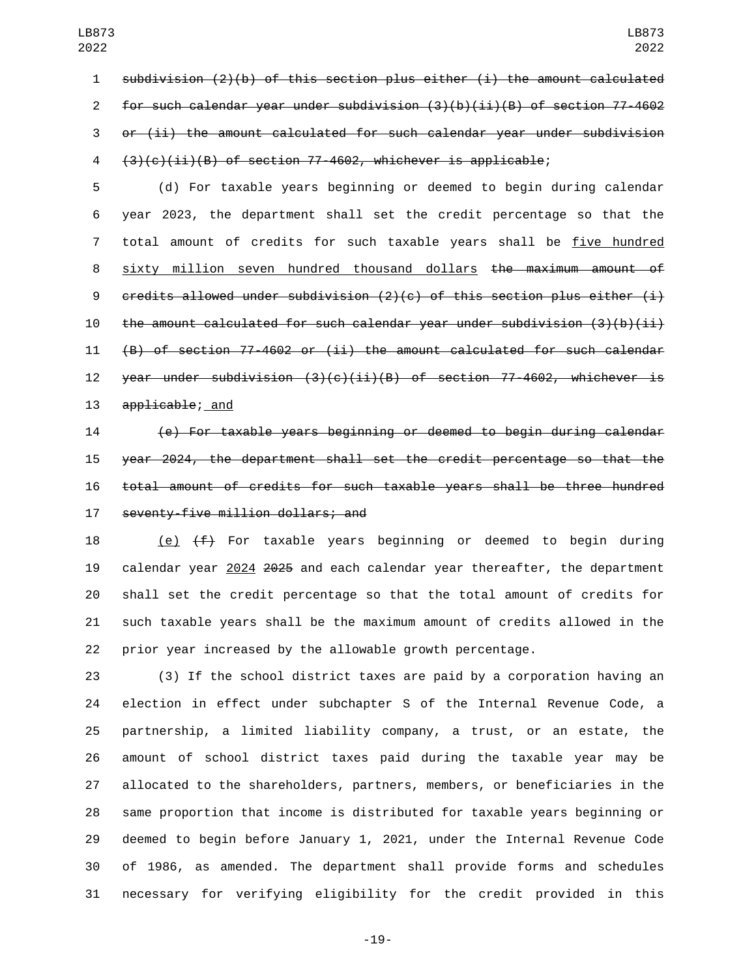subdivision (2)(b) of this section plus either (i) the amount calculated for such calendar year under subdivision (3)(b)(ii)(B) of section 77-4602 or (ii) the amount calculated for such calendar year under subdivision (3)(c)(ii)(B) of section 77-4602, whichever is applicable;

 (d) For taxable years beginning or deemed to begin during calendar year 2023, the department shall set the credit percentage so that the total amount of credits for such taxable years shall be five hundred 8 sixty million seven hundred thousand dollars <del>the maximum amount of</del> 9 credits allowed under subdivision (2)(c) of this section plus either (i) 10 the amount calculated for such calendar year under subdivision  $(3)(b)(ii)$  (B) of section 77-4602 or (ii) the amount calculated for such calendar 12 year under subdivision  $(3)(c)(ii)(B)$  of section 77-4602, whichever is 13 applicable; and

 (e) For taxable years beginning or deemed to begin during calendar year 2024, the department shall set the credit percentage so that the total amount of credits for such taxable years shall be three hundred 17 seventy-five million dollars; and

18 (e)  $(f)$  For taxable years beginning or deemed to begin during calendar year 2024 2025 and each calendar year thereafter, the department shall set the credit percentage so that the total amount of credits for such taxable years shall be the maximum amount of credits allowed in the prior year increased by the allowable growth percentage.

 (3) If the school district taxes are paid by a corporation having an election in effect under subchapter S of the Internal Revenue Code, a partnership, a limited liability company, a trust, or an estate, the amount of school district taxes paid during the taxable year may be allocated to the shareholders, partners, members, or beneficiaries in the same proportion that income is distributed for taxable years beginning or deemed to begin before January 1, 2021, under the Internal Revenue Code of 1986, as amended. The department shall provide forms and schedules necessary for verifying eligibility for the credit provided in this

-19-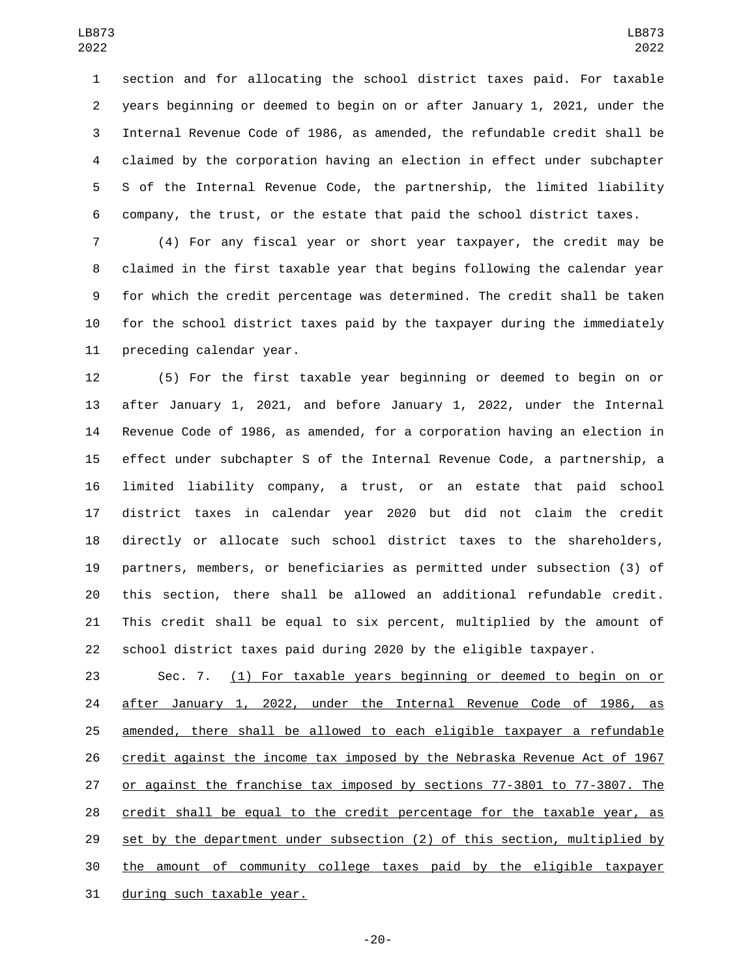section and for allocating the school district taxes paid. For taxable years beginning or deemed to begin on or after January 1, 2021, under the Internal Revenue Code of 1986, as amended, the refundable credit shall be claimed by the corporation having an election in effect under subchapter S of the Internal Revenue Code, the partnership, the limited liability company, the trust, or the estate that paid the school district taxes.

 (4) For any fiscal year or short year taxpayer, the credit may be claimed in the first taxable year that begins following the calendar year for which the credit percentage was determined. The credit shall be taken for the school district taxes paid by the taxpayer during the immediately 11 preceding calendar year.

 (5) For the first taxable year beginning or deemed to begin on or after January 1, 2021, and before January 1, 2022, under the Internal Revenue Code of 1986, as amended, for a corporation having an election in effect under subchapter S of the Internal Revenue Code, a partnership, a limited liability company, a trust, or an estate that paid school district taxes in calendar year 2020 but did not claim the credit directly or allocate such school district taxes to the shareholders, partners, members, or beneficiaries as permitted under subsection (3) of this section, there shall be allowed an additional refundable credit. This credit shall be equal to six percent, multiplied by the amount of school district taxes paid during 2020 by the eligible taxpayer.

 Sec. 7. (1) For taxable years beginning or deemed to begin on or after January 1, 2022, under the Internal Revenue Code of 1986, as amended, there shall be allowed to each eligible taxpayer a refundable credit against the income tax imposed by the Nebraska Revenue Act of 1967 or against the franchise tax imposed by sections 77-3801 to 77-3807. The credit shall be equal to the credit percentage for the taxable year, as set by the department under subsection (2) of this section, multiplied by the amount of community college taxes paid by the eligible taxpayer 31 during such taxable year.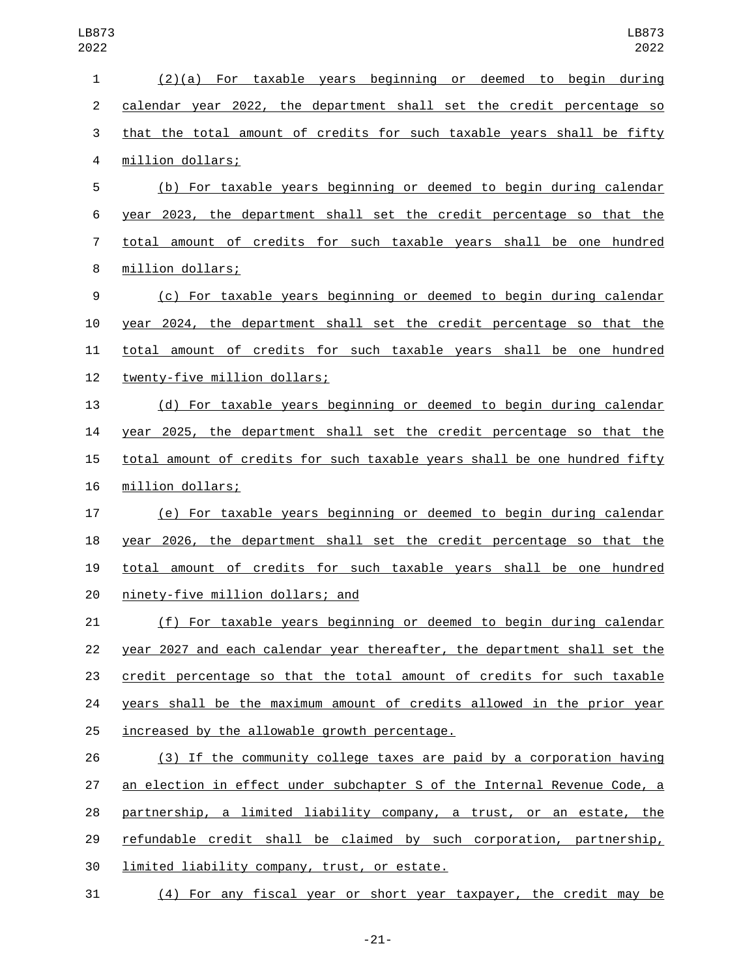| 1              | (2)(a) For taxable years beginning or deemed to begin during              |
|----------------|---------------------------------------------------------------------------|
| $\overline{2}$ | calendar year 2022, the department shall set the credit percentage so     |
| 3              | that the total amount of credits for such taxable years shall be fifty    |
| 4              | million dollars;                                                          |
| 5              | (b) For taxable years beginning or deemed to begin during calendar        |
| 6              | year 2023, the department shall set the credit percentage so that the     |
| 7              | total amount of credits for such taxable years shall be one hundred       |
| 8              | million dollars;                                                          |
| 9              | (c) For taxable years beginning or deemed to begin during calendar        |
| 10             | year 2024, the department shall set the credit percentage so that the     |
| 11             | total amount of credits for such taxable years shall be one hundred       |
| 12             | twenty-five million dollars;                                              |
| 13             | (d) For taxable years beginning or deemed to begin during calendar        |
| 14             | year 2025, the department shall set the credit percentage so that the     |
| 15             | total amount of credits for such taxable years shall be one hundred fifty |
| 16             | million dollars;                                                          |
| 17             | (e) For taxable years beginning or deemed to begin during calendar        |
| 18             | year 2026, the department shall set the credit percentage so that the     |
| 19             | total amount of credits for such taxable years shall be one hundred       |
| 20             | ninety-five million dollars; and                                          |
| 21             | (f) For taxable years beginning or deemed to begin during calendar        |
| 22             | year 2027 and each calendar year thereafter, the department shall set the |
| 23             | credit percentage so that the total amount of credits for such taxable    |
| 24             | years shall be the maximum amount of credits allowed in the prior year    |
| 25             | increased by the allowable growth percentage.                             |
| 26             | (3) If the community college taxes are paid by a corporation having       |
| 27             | an election in effect under subchapter S of the Internal Revenue Code, a  |
| 28             | partnership, a limited liability company, a trust, or an estate, the      |
| 29             | refundable credit shall be claimed by such corporation, partnership,      |
| 30             | limited liability company, trust, or estate.                              |
| 31             | (4) For any fiscal year or short year taxpayer, the credit may be         |